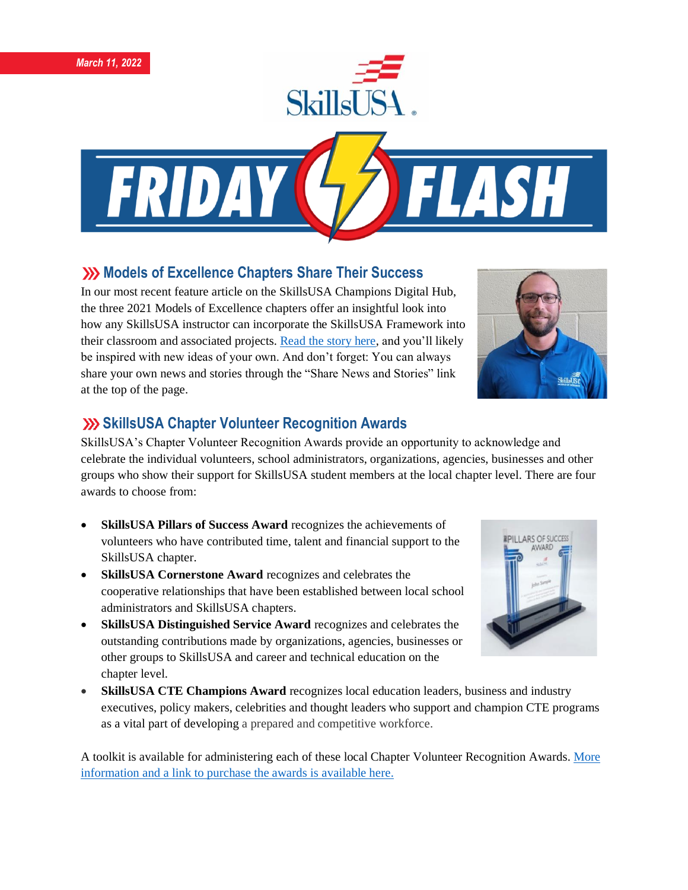



# **XXX** Models of Excellence Chapters Share Their Success

In our most recent feature article on the SkillsUSA Champions Digital Hub, the three 2021 Models of Excellence chapters offer an insightful look into how any SkillsUSA instructor can incorporate the SkillsUSA Framework into their classroom and associated projects. [Read the story here,](https://skillsusachampions.org/2022/02/models-of-excellence-are-always-in-fashion/) and you'll likely be inspired with new ideas of your own. And don't forget: You can always share your own news and stories through the "Share News and Stories" link at the top of the page.



#### **SkillsUSA Chapter Volunteer Recognition Awards**

SkillsUSA's Chapter Volunteer Recognition Awards provide an opportunity to acknowledge and celebrate the individual volunteers, school administrators, organizations, agencies, businesses and other groups who show their support for SkillsUSA student members at the local chapter level. There are four awards to choose from:

- **SkillsUSA Pillars of Success Award** recognizes the achievements of volunteers who have contributed time, talent and financial support to the SkillsUSA chapter.
- **SkillsUSA Cornerstone Award** recognizes and celebrates the cooperative relationships that have been established between local school administrators and SkillsUSA chapters.
- **SkillsUSA Distinguished Service Award** recognizes and celebrates the outstanding contributions made by organizations, agencies, businesses or other groups to SkillsUSA and career and technical education on the chapter level.
- **SkillsUSA CTE Champions Award** recognizes local education leaders, business and industry executives, policy makers, celebrities and thought leaders who support and champion CTE programs as a vital part of developing a prepared and competitive workforce.

A toolkit is available for administering each of these local Chapter Volunteer Recognition Awards. [More](https://www.skillsusa.org/membership-resources/awards/chapter-volunteer-recognition-awards/)  [information and a link to purchase the awards is available here.](https://www.skillsusa.org/membership-resources/awards/chapter-volunteer-recognition-awards/)

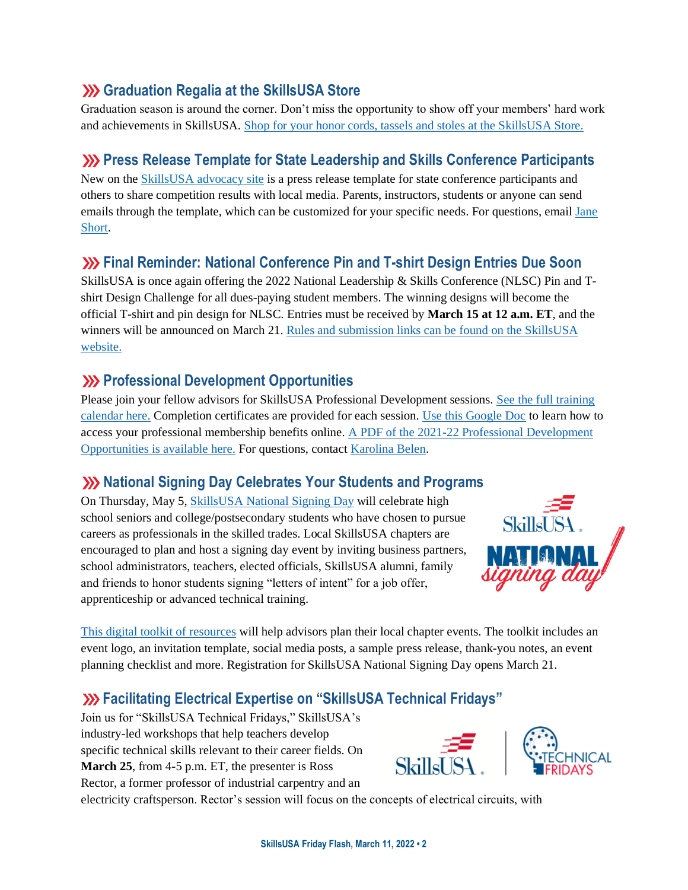## **(b)** Graduation Regalia at the SkillsUSA Store

Graduation season is around the corner. Don't miss the opportunity to show off your members' hard work and achievements in SkillsUSA. [Shop for your honor cords, tassels and stoles at the SkillsUSA Store.](https://skillsusastore.org/products?s%5Bf%5D%5Bc%5D%5B%5D=%2FGraduation+Station%2FGraduation+Regalia)

# **Press Release Template for State Leadership and Skills Conference Participants**

New on the [SkillsUSA advocacy site](https://www.congressweb.com/susa/#/) is a press release template for state conference participants and others to share competition results with local media. Parents, instructors, students or anyone can send emails through the template, which can be customized for your specific needs. For questions, email [Jane](mailto:jshort@skillsusa.org)  [Short.](mailto:jshort@skillsusa.org)

# **Final Reminder: National Conference Pin and T-shirt Design Entries Due Soon**

SkillsUSA is once again offering the 2022 National Leadership & Skills Conference (NLSC) Pin and Tshirt Design Challenge for all dues-paying student members. The winning designs will become the official T-shirt and pin design for NLSC. Entries must be received by **March 15 at 12 a.m. ET**, and the winners will be announced on March 21. [Rules and submission links can be found on the SkillsUSA](https://www.skillsusa.org/competitions/pin-design-challenge/)  [website.](https://www.skillsusa.org/competitions/pin-design-challenge/)

# **EXP Professional Development Opportunities**

Please join your fellow advisors for SkillsUSA Professional Development sessions. [See the full training](https://www.skillsusa.org/events-training/)  [calendar here.](https://www.skillsusa.org/events-training/) Completion certificates are provided for each session. [Use this Google Doc](https://docs.google.com/document/d/1d2EvwsmdelNzm-WK7pTGSokJTbWZXcFDOODai32SGzk/edit) to learn how to access your professional membership benefits online. [A PDF of the 2021-22 Professional Development](https://www.skillsusa.org/wp-content/uploads/2021/09/SkillsUSA-2021-Professional-Development-Opportunities-v9.pdf)  [Opportunities is available here.](https://www.skillsusa.org/wp-content/uploads/2021/09/SkillsUSA-2021-Professional-Development-Opportunities-v9.pdf) For questions, contact [Karolina Belen.](mailto:kbelen@skillsusa.org)

# **National Signing Day Celebrates Your Students and Programs**

On Thursday, May 5, [SkillsUSA National Signing Day](https://www.skillsusa.org/events-training/national-signing-day/) will celebrate high school seniors and college/postsecondary students who have chosen to pursue careers as professionals in the skilled trades. Local SkillsUSA chapters are encouraged to plan and host a signing day event by inviting business partners, school administrators, teachers, elected officials, SkillsUSA alumni, family and friends to honor students signing "letters of intent" for a job offer, apprenticeship or advanced technical training.



[This digital toolkit of resources](https://www.skillsusa.org/events-training/national-signing-day/) will help advisors plan their local chapter events. The toolkit includes an event logo, an invitation template, social media posts, a sample press release, thank-you notes, an event planning checklist and more. Registration for SkillsUSA National Signing Day opens March 21.

# **Facilitating Electrical Expertise on "SkillsUSA Technical Fridays"**

Join us for "SkillsUSA Technical Fridays," SkillsUSA's industry-led workshops that help teachers develop specific technical skills relevant to their career fields. On **March 25**, from 4-5 p.m. ET, the presenter is Ross Rector, a former professor of industrial carpentry and an



electricity craftsperson. Rector's session will focus on the concepts of electrical circuits, with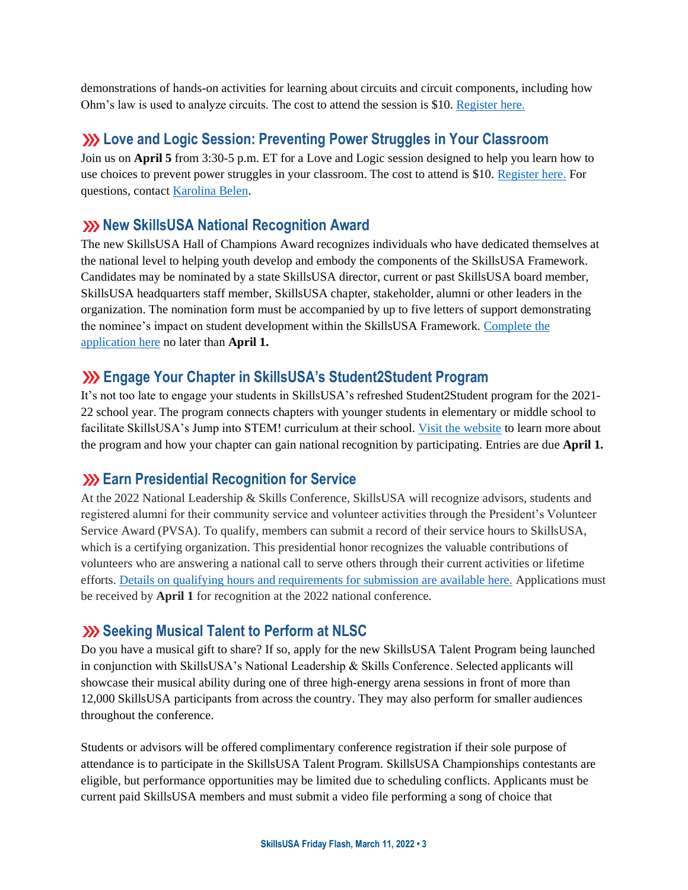demonstrations of hands-on activities for learning about circuits and circuit components, including how Ohm's law is used to analyze circuits. The cost to attend the session is \$10. [Register here.](https://skillsusa.wufoo.com/forms/love-and-logic-and-technical-fridays-registration)

## **Love and Logic Session: Preventing Power Struggles in Your Classroom**

Join us on **April 5** from 3:30-5 p.m. ET for a Love and Logic session designed to help you learn how to use choices to prevent power struggles in your classroom. The cost to attend is \$10. [Register here.](https://skillsusa.wufoo.com/forms/love-and-logic-and-technical-fridays-registration) For questions, contact [Karolina Belen.](mailto:kbelen@skillsusa.org)

## **XX** New SkillsUSA National Recognition Award

The new SkillsUSA Hall of Champions Award recognizes individuals who have dedicated themselves at the national level to helping youth develop and embody the components of the SkillsUSA Framework. Candidates may be nominated by a state SkillsUSA director, current or past SkillsUSA board member, SkillsUSA headquarters staff member, SkillsUSA chapter, stakeholder, alumni or other leaders in the organization. The nomination form must be accompanied by up to five letters of support demonstrating the nominee's impact on student development within the SkillsUSA Framework. [Complete the](https://skillsusa.wufoo.com/forms/skillsusa-hall-of-champions-award/)  [application here](https://skillsusa.wufoo.com/forms/skillsusa-hall-of-champions-award/) no later than **April 1.**

## **Engage Your Chapter in SkillsUSA's Student2Student Program**

It's not too late to engage your students in SkillsUSA's refreshed Student2Student program for the 2021-22 school year. The program connects chapters with younger students in elementary or middle school to facilitate SkillsUSA's Jump into STEM! curriculum at their school. [Visit the website](https://www.skillsusa.org/programs/student2student/) to learn more about the program and how your chapter can gain national recognition by participating. Entries are due **April 1.**

#### **Earn Presidential Recognition for Service**

At the 2022 National Leadership & Skills Conference, SkillsUSA will recognize advisors, students and registered alumni for their community service and volunteer activities through the President's Volunteer Service Award (PVSA). To qualify, members can submit a record of their service hours to SkillsUSA, which is a certifying organization. This presidential honor recognizes the valuable contributions of volunteers who are answering a national call to serve others through their current activities or lifetime efforts. [Details on qualifying hours and requirements for submission are available here.](https://www.skillsusa.org/membership-resources/awards/presidents-volunteer-service-award) Applications must be received by **April 1** for recognition at the 2022 national conference.

#### **Seeking Musical Talent to Perform at NLSC**

Do you have a musical gift to share? If so, apply for the new SkillsUSA Talent Program being launched in conjunction with SkillsUSA's National Leadership & Skills Conference. Selected applicants will showcase their musical ability during one of three high-energy arena sessions in front of more than 12,000 SkillsUSA participants from across the country. They may also perform for smaller audiences throughout the conference.

Students or advisors will be offered complimentary conference registration if their sole purpose of attendance is to participate in the SkillsUSA Talent Program. SkillsUSA Championships contestants are eligible, but performance opportunities may be limited due to scheduling conflicts. Applicants must be current paid SkillsUSA members and must submit a video file performing a song of choice that